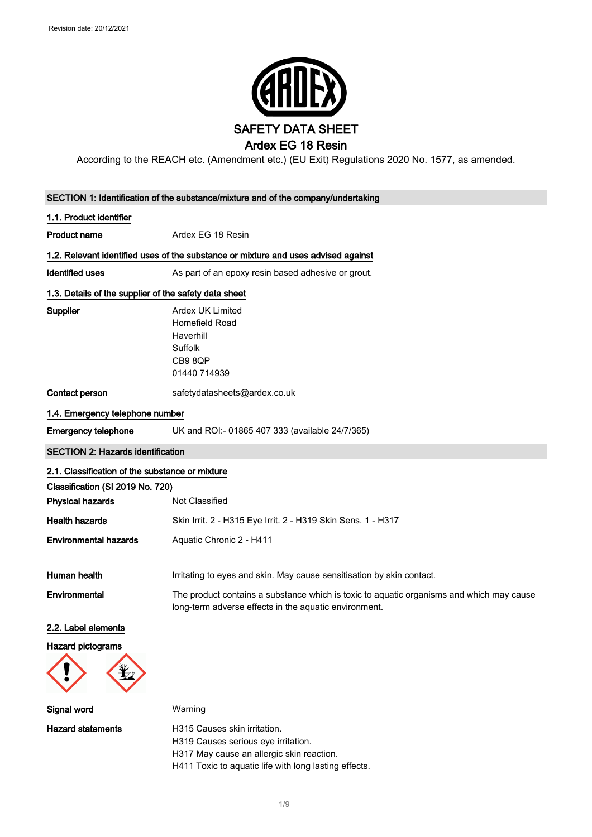

According to the REACH etc. (Amendment etc.) (EU Exit) Regulations 2020 No. 1577, as amended.

| SECTION 1: Identification of the substance/mixture and of the company/undertaking |                                                                                                                                                   |  |
|-----------------------------------------------------------------------------------|---------------------------------------------------------------------------------------------------------------------------------------------------|--|
| 1.1. Product identifier                                                           |                                                                                                                                                   |  |
| <b>Product name</b><br>Ardex EG 18 Resin                                          |                                                                                                                                                   |  |
|                                                                                   | 1.2. Relevant identified uses of the substance or mixture and uses advised against                                                                |  |
| <b>Identified uses</b>                                                            | As part of an epoxy resin based adhesive or grout.                                                                                                |  |
| 1.3. Details of the supplier of the safety data sheet                             |                                                                                                                                                   |  |
| <b>Supplier</b>                                                                   | <b>Ardex UK Limited</b><br><b>Homefield Road</b><br>Haverhill<br>Suffolk<br>CB98QP<br>01440 714939                                                |  |
| Contact person                                                                    | safetydatasheets@ardex.co.uk                                                                                                                      |  |
| 1.4. Emergency telephone number                                                   |                                                                                                                                                   |  |
| <b>Emergency telephone</b>                                                        | UK and ROI:- 01865 407 333 (available 24/7/365)                                                                                                   |  |
| <b>SECTION 2: Hazards identification</b>                                          |                                                                                                                                                   |  |
| 2.1. Classification of the substance or mixture                                   |                                                                                                                                                   |  |
| Classification (SI 2019 No. 720)                                                  |                                                                                                                                                   |  |
| <b>Physical hazards</b>                                                           | Not Classified                                                                                                                                    |  |
| <b>Health hazards</b>                                                             | Skin Irrit. 2 - H315 Eye Irrit. 2 - H319 Skin Sens. 1 - H317                                                                                      |  |
| <b>Environmental hazards</b>                                                      | Aquatic Chronic 2 - H411                                                                                                                          |  |
| Human health                                                                      | Irritating to eyes and skin. May cause sensitisation by skin contact.                                                                             |  |
| Environmental                                                                     | The product contains a substance which is toxic to aquatic organisms and which may cause<br>long-term adverse effects in the aquatic environment. |  |
| 2.2. Label elements                                                               |                                                                                                                                                   |  |
| <b>Hazard pictograms</b>                                                          |                                                                                                                                                   |  |
| Signal word                                                                       | Warning                                                                                                                                           |  |
| <b>Hazard statements</b>                                                          | H315 Causes skin irritation.<br>H319 Causes serious eye irritation.<br>H317 May cause an allergic skin reaction.                                  |  |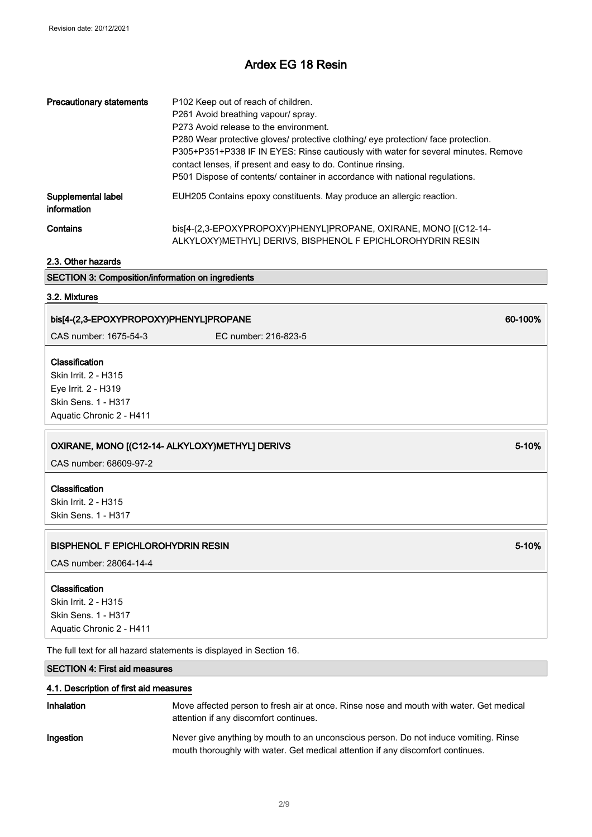| <b>Precautionary statements</b>   | P102 Keep out of reach of children.<br>P261 Avoid breathing vapour/ spray.<br>P273 Avoid release to the environment.<br>P280 Wear protective gloves/ protective clothing/ eye protection/ face protection.<br>P305+P351+P338 IF IN EYES: Rinse cautiously with water for several minutes. Remove<br>contact lenses, if present and easy to do. Continue rinsing.<br>P501 Dispose of contents/ container in accordance with national regulations. |
|-----------------------------------|--------------------------------------------------------------------------------------------------------------------------------------------------------------------------------------------------------------------------------------------------------------------------------------------------------------------------------------------------------------------------------------------------------------------------------------------------|
| Supplemental label<br>information | EUH205 Contains epoxy constituents. May produce an allergic reaction.                                                                                                                                                                                                                                                                                                                                                                            |
| Contains                          | bis[4-(2,3-EPOXYPROPOXY)PHENYL]PROPANE, OXIRANE, MONO [(C12-14-<br>ALKYLOXY) METHYLI DERIVS, BISPHENOL F EPICHLOROHYDRIN RESIN                                                                                                                                                                                                                                                                                                                   |

2.3. Other hazards

### SECTION 3: Composition/information on ingredients

#### 3.2. Mixtures

# bis[4-(2,3-EPOXYPROPOXY)PHENYL]PROPANE 60-100% CAS number: 1675-54-3 EC number: 216-823-5 Classification Skin Irrit. 2 - H315 Eye Irrit. 2 - H319 Skin Sens. 1 - H317 Aquatic Chronic 2 - H411 OXIRANE, MONO [(C12-14- ALKYLOXY)METHYL] DERIVS 5-10 SERICLE SERIES FOR STATE STATES AND STATES STATES IN STATES CAS number: 68609-97-2 Classification Skin Irrit. 2 - H315 Skin Sens. 1 - H317

### BISPHENOL F EPICHLOROHYDRIN RESIN 5-10% AND THE SERVICE OF THE SERVICE OF THE SERVICE OF THE SERVICE OF THE SE

CAS number: 28064-14-4

#### Classification

Skin Irrit. 2 - H315 Skin Sens. 1 - H317 Aquatic Chronic 2 - H411

The full text for all hazard statements is displayed in Section 16.

### SECTION 4: First aid measures

#### 4.1. Description of first aid measures

| Inhalation | Move affected person to fresh air at once. Rinse nose and mouth with water. Get medical<br>attention if any discomfort continues.                                       |
|------------|-------------------------------------------------------------------------------------------------------------------------------------------------------------------------|
| Ingestion  | Never give anything by mouth to an unconscious person. Do not induce vomiting. Rinse<br>mouth thoroughly with water. Get medical attention if any discomfort continues. |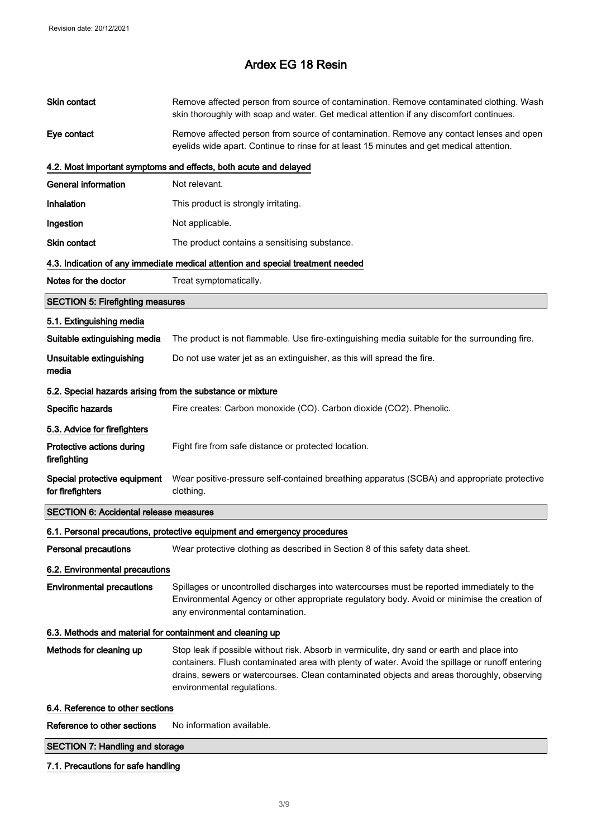|                                                            | <b>SECTION 7: Handling and storage</b>                                                                                                                                                                                                                                                                                     |  |  |
|------------------------------------------------------------|----------------------------------------------------------------------------------------------------------------------------------------------------------------------------------------------------------------------------------------------------------------------------------------------------------------------------|--|--|
| Reference to other sections                                | No information available.                                                                                                                                                                                                                                                                                                  |  |  |
| 6.4. Reference to other sections                           |                                                                                                                                                                                                                                                                                                                            |  |  |
| Methods for cleaning up                                    | Stop leak if possible without risk. Absorb in vermiculite, dry sand or earth and place into<br>containers. Flush contaminated area with plenty of water. Avoid the spillage or runoff entering<br>drains, sewers or watercourses. Clean contaminated objects and areas thoroughly, observing<br>environmental regulations. |  |  |
| 6.3. Methods and material for containment and cleaning up  |                                                                                                                                                                                                                                                                                                                            |  |  |
| <b>Environmental precautions</b>                           | Spillages or uncontrolled discharges into watercourses must be reported immediately to the<br>Environmental Agency or other appropriate regulatory body. Avoid or minimise the creation of<br>any environmental contamination.                                                                                             |  |  |
| 6.2. Environmental precautions                             |                                                                                                                                                                                                                                                                                                                            |  |  |
| <b>Personal precautions</b>                                | Wear protective clothing as described in Section 8 of this safety data sheet.                                                                                                                                                                                                                                              |  |  |
|                                                            | 6.1. Personal precautions, protective equipment and emergency procedures                                                                                                                                                                                                                                                   |  |  |
| <b>SECTION 6: Accidental release measures</b>              |                                                                                                                                                                                                                                                                                                                            |  |  |
| Special protective equipment<br>for firefighters           | Wear positive-pressure self-contained breathing apparatus (SCBA) and appropriate protective<br>clothing.                                                                                                                                                                                                                   |  |  |
| Protective actions during<br>firefighting                  | Fight fire from safe distance or protected location.                                                                                                                                                                                                                                                                       |  |  |
| 5.3. Advice for firefighters                               |                                                                                                                                                                                                                                                                                                                            |  |  |
| Specific hazards                                           | Fire creates: Carbon monoxide (CO). Carbon dioxide (CO2). Phenolic.                                                                                                                                                                                                                                                        |  |  |
| 5.2. Special hazards arising from the substance or mixture |                                                                                                                                                                                                                                                                                                                            |  |  |
| Unsuitable extinguishing<br>media                          | Do not use water jet as an extinguisher, as this will spread the fire.                                                                                                                                                                                                                                                     |  |  |
| Suitable extinguishing media                               | The product is not flammable. Use fire-extinguishing media suitable for the surrounding fire.                                                                                                                                                                                                                              |  |  |
| 5.1. Extinguishing media                                   |                                                                                                                                                                                                                                                                                                                            |  |  |
| <b>SECTION 5: Firefighting measures</b>                    |                                                                                                                                                                                                                                                                                                                            |  |  |
| Notes for the doctor                                       | Treat symptomatically.                                                                                                                                                                                                                                                                                                     |  |  |
|                                                            | 4.3. Indication of any immediate medical attention and special treatment needed                                                                                                                                                                                                                                            |  |  |
| Skin contact                                               | The product contains a sensitising substance.                                                                                                                                                                                                                                                                              |  |  |
| Ingestion                                                  | Not applicable.                                                                                                                                                                                                                                                                                                            |  |  |
| Inhalation                                                 | This product is strongly irritating.                                                                                                                                                                                                                                                                                       |  |  |
| <b>General information</b>                                 | Not relevant.                                                                                                                                                                                                                                                                                                              |  |  |
|                                                            | 4.2. Most important symptoms and effects, both acute and delayed                                                                                                                                                                                                                                                           |  |  |
| Eye contact                                                | Remove affected person from source of contamination. Remove any contact lenses and open<br>eyelids wide apart. Continue to rinse for at least 15 minutes and get medical attention.                                                                                                                                        |  |  |
| Skin contact                                               | Remove affected person from source of contamination. Remove contaminated clothing. Wash<br>skin thoroughly with soap and water. Get medical attention if any discomfort continues.                                                                                                                                         |  |  |

### 7.1. Precautions for safe handling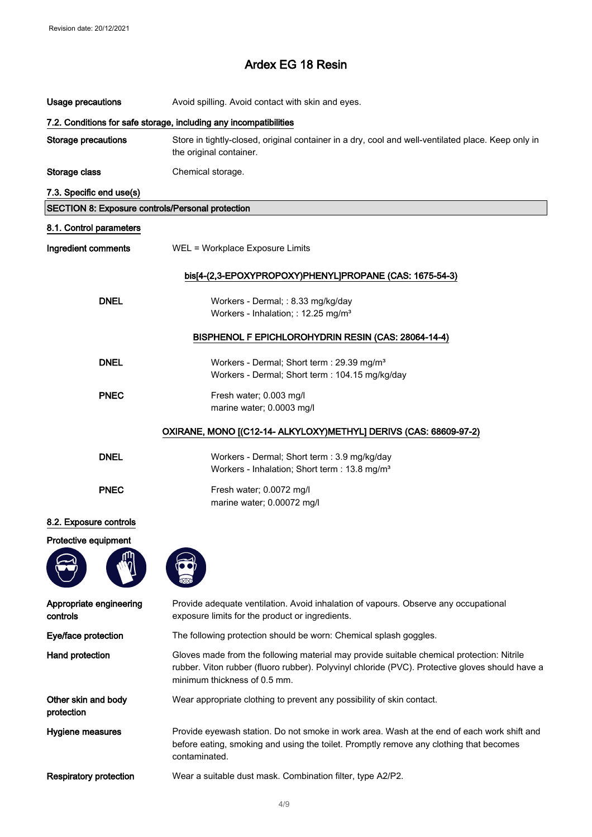| Usage precautions                                                 | Avoid spilling. Avoid contact with skin and eyes.                                                                                                                                                                            |  |  |
|-------------------------------------------------------------------|------------------------------------------------------------------------------------------------------------------------------------------------------------------------------------------------------------------------------|--|--|
| 7.2. Conditions for safe storage, including any incompatibilities |                                                                                                                                                                                                                              |  |  |
| <b>Storage precautions</b>                                        | Store in tightly-closed, original container in a dry, cool and well-ventilated place. Keep only in<br>the original container.                                                                                                |  |  |
| Storage class                                                     | Chemical storage.                                                                                                                                                                                                            |  |  |
| 7.3. Specific end use(s)                                          |                                                                                                                                                                                                                              |  |  |
| <b>SECTION 8: Exposure controls/Personal protection</b>           |                                                                                                                                                                                                                              |  |  |
| 8.1. Control parameters                                           |                                                                                                                                                                                                                              |  |  |
| Ingredient comments                                               | WEL = Workplace Exposure Limits                                                                                                                                                                                              |  |  |
|                                                                   | bis[4-(2,3-EPOXYPROPOXY)PHENYLJPROPANE (CAS: 1675-54-3)                                                                                                                                                                      |  |  |
| <b>DNEL</b>                                                       | Workers - Dermal; : 8.33 mg/kg/day<br>Workers - Inhalation; : 12.25 mg/m <sup>3</sup>                                                                                                                                        |  |  |
|                                                                   | BISPHENOL F EPICHLOROHYDRIN RESIN (CAS: 28064-14-4)                                                                                                                                                                          |  |  |
| <b>DNEL</b>                                                       | Workers - Dermal; Short term : 29.39 mg/m <sup>3</sup><br>Workers - Dermal; Short term : 104.15 mg/kg/day                                                                                                                    |  |  |
| <b>PNEC</b>                                                       | Fresh water; 0.003 mg/l<br>marine water; 0.0003 mg/l                                                                                                                                                                         |  |  |
| OXIRANE, MONO [(C12-14- ALKYLOXY)METHYL] DERIVS (CAS: 68609-97-2) |                                                                                                                                                                                                                              |  |  |
| <b>DNEL</b>                                                       | Workers - Dermal; Short term : 3.9 mg/kg/day<br>Workers - Inhalation; Short term : 13.8 mg/m <sup>3</sup>                                                                                                                    |  |  |
| <b>PNEC</b>                                                       | Fresh water; 0.0072 mg/l<br>marine water; 0.00072 mg/l                                                                                                                                                                       |  |  |
| 8.2. Exposure controls                                            |                                                                                                                                                                                                                              |  |  |
| Protective equipment                                              |                                                                                                                                                                                                                              |  |  |
| Appropriate engineering<br>controls                               | Provide adequate ventilation. Avoid inhalation of vapours. Observe any occupational<br>exposure limits for the product or ingredients.                                                                                       |  |  |
| Eye/face protection                                               | The following protection should be worn: Chemical splash goggles.                                                                                                                                                            |  |  |
| Hand protection                                                   | Gloves made from the following material may provide suitable chemical protection: Nitrile<br>rubber. Viton rubber (fluoro rubber). Polyvinyl chloride (PVC). Protective gloves should have a<br>minimum thickness of 0.5 mm. |  |  |
| Other skin and body<br>protection                                 | Wear appropriate clothing to prevent any possibility of skin contact.                                                                                                                                                        |  |  |
| Hygiene measures                                                  | Provide eyewash station. Do not smoke in work area. Wash at the end of each work shift and<br>before eating, smoking and using the toilet. Promptly remove any clothing that becomes<br>contaminated.                        |  |  |
| <b>Respiratory protection</b>                                     | Wear a suitable dust mask. Combination filter, type A2/P2.                                                                                                                                                                   |  |  |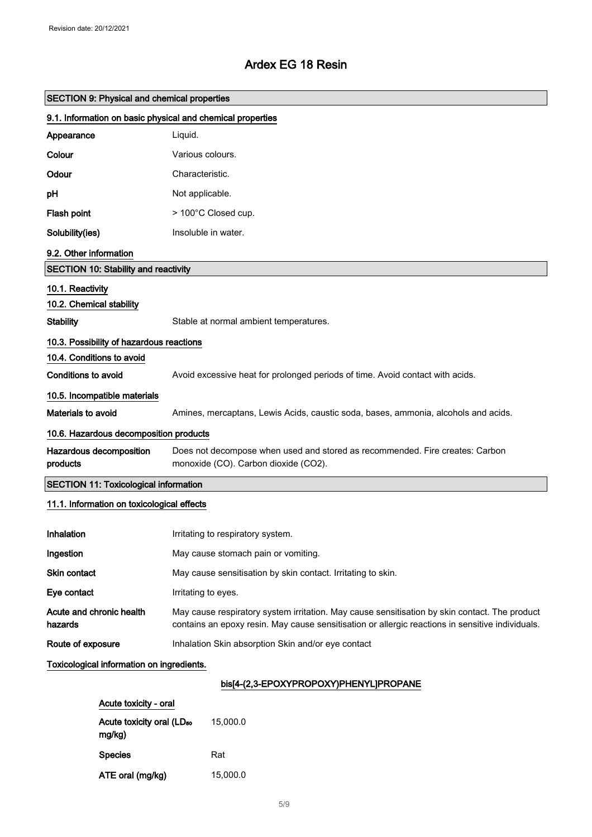| <b>SECTION 9: Physical and chemical properties</b>         |                                                                                                                                                                                                   |  |
|------------------------------------------------------------|---------------------------------------------------------------------------------------------------------------------------------------------------------------------------------------------------|--|
| 9.1. Information on basic physical and chemical properties |                                                                                                                                                                                                   |  |
| Appearance                                                 | Liquid.                                                                                                                                                                                           |  |
| Colour                                                     | Various colours.                                                                                                                                                                                  |  |
| Odour                                                      | Characteristic.                                                                                                                                                                                   |  |
| pH                                                         | Not applicable.                                                                                                                                                                                   |  |
| Flash point                                                | > 100°C Closed cup.                                                                                                                                                                               |  |
| Solubility(ies)                                            | Insoluble in water.                                                                                                                                                                               |  |
| 9.2. Other information                                     |                                                                                                                                                                                                   |  |
| <b>SECTION 10: Stability and reactivity</b>                |                                                                                                                                                                                                   |  |
| 10.1. Reactivity                                           |                                                                                                                                                                                                   |  |
| 10.2. Chemical stability                                   |                                                                                                                                                                                                   |  |
| <b>Stability</b>                                           | Stable at normal ambient temperatures.                                                                                                                                                            |  |
| 10.3. Possibility of hazardous reactions                   |                                                                                                                                                                                                   |  |
| 10.4. Conditions to avoid                                  |                                                                                                                                                                                                   |  |
| Conditions to avoid                                        | Avoid excessive heat for prolonged periods of time. Avoid contact with acids.                                                                                                                     |  |
| 10.5. Incompatible materials                               |                                                                                                                                                                                                   |  |
| Materials to avoid                                         | Amines, mercaptans, Lewis Acids, caustic soda, bases, ammonia, alcohols and acids.                                                                                                                |  |
| 10.6. Hazardous decomposition products                     |                                                                                                                                                                                                   |  |
| Hazardous decomposition<br>products                        | Does not decompose when used and stored as recommended. Fire creates: Carbon<br>monoxide (CO). Carbon dioxide (CO2).                                                                              |  |
| <b>SECTION 11: Toxicological information</b>               |                                                                                                                                                                                                   |  |
| 11.1. Information on toxicological effects                 |                                                                                                                                                                                                   |  |
| Inhalation                                                 | Irritating to respiratory system.                                                                                                                                                                 |  |
| Ingestion                                                  | May cause stomach pain or vomiting.                                                                                                                                                               |  |
| Skin contact                                               | May cause sensitisation by skin contact. Irritating to skin.                                                                                                                                      |  |
| Eye contact                                                | Irritating to eyes.                                                                                                                                                                               |  |
| Acute and chronic health<br>hazards                        | May cause respiratory system irritation. May cause sensitisation by skin contact. The product<br>contains an epoxy resin. May cause sensitisation or allergic reactions in sensitive individuals. |  |
| Route of exposure                                          | Inhalation Skin absorption Skin and/or eye contact                                                                                                                                                |  |
| Toxicological information on ingredients.                  |                                                                                                                                                                                                   |  |
| his[4-(2 3-FPOXYPROPOXY)PHENYLIPROPANE                     |                                                                                                                                                                                                   |  |

### DIS[4-(Z,3-EPOXYPROPOXY)PHENYL]PROPANE

| Acute toxicity - oral                           |          |
|-------------------------------------------------|----------|
| Acute toxicity oral (LD <sub>50</sub><br>mg/kg) | 15.000.0 |
| <b>Species</b>                                  | Rat      |
| ATE oral (mg/kg)                                | 15.000.0 |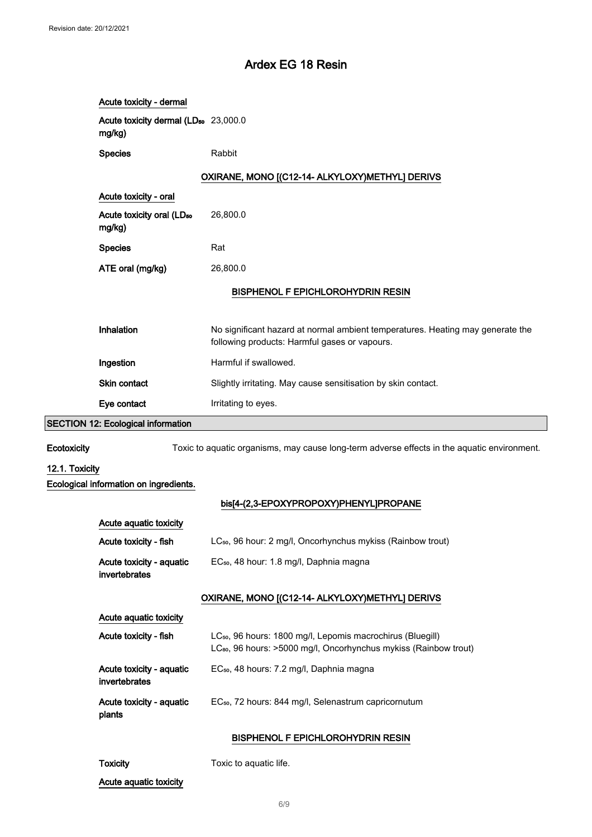|                | Acute toxicity - dermal                                    |                                                                                                                                                        |
|----------------|------------------------------------------------------------|--------------------------------------------------------------------------------------------------------------------------------------------------------|
|                | Acute toxicity dermal (LD <sub>50</sub> 23,000.0<br>mg/kg) |                                                                                                                                                        |
|                | <b>Species</b>                                             | Rabbit                                                                                                                                                 |
|                |                                                            | OXIRANE, MONO [(C12-14- ALKYLOXY)METHYL] DERIVS                                                                                                        |
|                | Acute toxicity - oral                                      |                                                                                                                                                        |
|                | Acute toxicity oral (LD <sub>50</sub><br>mg/kg)            | 26,800.0                                                                                                                                               |
|                | <b>Species</b>                                             | Rat                                                                                                                                                    |
|                | ATE oral (mg/kg)                                           | 26,800.0                                                                                                                                               |
|                |                                                            | <b>BISPHENOL F EPICHLOROHYDRIN RESIN</b>                                                                                                               |
|                |                                                            |                                                                                                                                                        |
|                | Inhalation                                                 | No significant hazard at normal ambient temperatures. Heating may generate the<br>following products: Harmful gases or vapours.                        |
|                | Ingestion                                                  | Harmful if swallowed.                                                                                                                                  |
|                | <b>Skin contact</b>                                        | Slightly irritating. May cause sensitisation by skin contact.                                                                                          |
|                | Eye contact                                                | Irritating to eyes.                                                                                                                                    |
|                | <b>SECTION 12: Ecological information</b>                  |                                                                                                                                                        |
| Ecotoxicity    |                                                            | Toxic to aquatic organisms, may cause long-term adverse effects in the aquatic environment.                                                            |
| 12.1. Toxicity |                                                            |                                                                                                                                                        |
|                | Ecological information on ingredients.                     |                                                                                                                                                        |
|                |                                                            | bis[4-(2,3-EPOXYPROPOXY)PHENYL]PROPANE                                                                                                                 |
|                | Acute aquatic toxicity                                     |                                                                                                                                                        |
|                | Acute toxicity - fish                                      | LC <sub>50</sub> , 96 hour: 2 mg/l, Oncorhynchus mykiss (Rainbow trout)                                                                                |
|                | Acute toxicity - aquatic<br>invertebrates                  | EC <sub>50</sub> , 48 hour: 1.8 mg/l, Daphnia magna                                                                                                    |
|                |                                                            | OXIRANE, MONO [(C12-14- ALKYLOXY)METHYL] DERIVS                                                                                                        |
|                | Acute aquatic toxicity                                     |                                                                                                                                                        |
|                | Acute toxicity - fish                                      | LC <sub>50</sub> , 96 hours: 1800 mg/l, Lepomis macrochirus (Bluegill)<br>LC <sub>80</sub> , 96 hours: >5000 mg/l, Oncorhynchus mykiss (Rainbow trout) |
|                | Acute toxicity - aquatic<br>invertebrates                  | EC <sub>50</sub> , 48 hours: 7.2 mg/l, Daphnia magna                                                                                                   |
|                | Acute toxicity - aquatic<br>plants                         | EC <sub>50</sub> , 72 hours: 844 mg/l, Selenastrum capricornutum                                                                                       |
|                |                                                            | <b>BISPHENOL F EPICHLOROHYDRIN RESIN</b>                                                                                                               |
|                | <b>Toxicity</b>                                            | Toxic to aquatic life.                                                                                                                                 |
|                | Acute aquatic toxicity                                     |                                                                                                                                                        |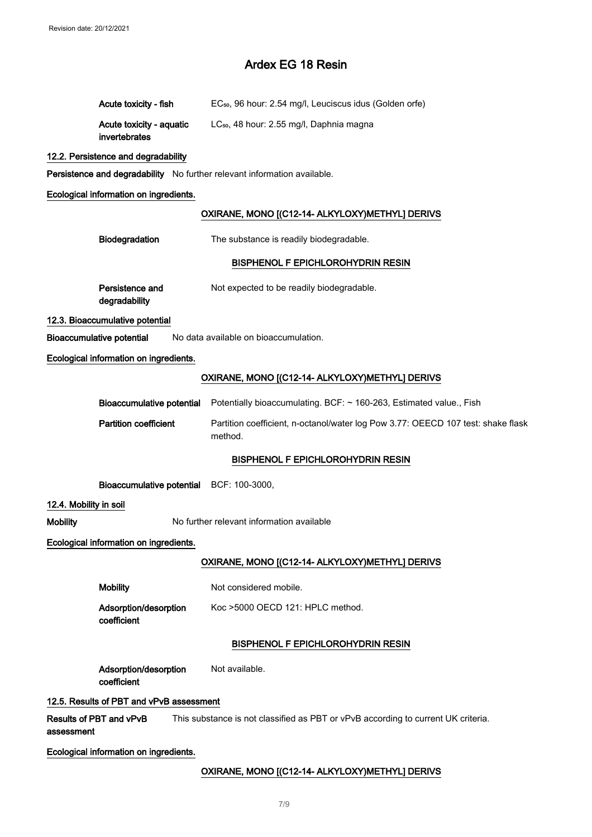|                        | Acute toxicity - fish                     | EC <sub>50</sub> , 96 hour: 2.54 mg/l, Leuciscus idus (Golden orfe)                         |
|------------------------|-------------------------------------------|---------------------------------------------------------------------------------------------|
|                        | Acute toxicity - aquatic<br>invertebrates | LC <sub>50</sub> , 48 hour: 2.55 mg/l, Daphnia magna                                        |
|                        | 12.2. Persistence and degradability       |                                                                                             |
|                        |                                           | Persistence and degradability No further relevant information available.                    |
|                        | Ecological information on ingredients.    |                                                                                             |
|                        |                                           | OXIRANE, MONO [(C12-14- ALKYLOXY)METHYL] DERIVS                                             |
|                        | Biodegradation                            | The substance is readily biodegradable.                                                     |
|                        |                                           | <b>BISPHENOL F EPICHLOROHYDRIN RESIN</b>                                                    |
|                        | Persistence and<br>degradability          | Not expected to be readily biodegradable.                                                   |
|                        | 12.3. Bioaccumulative potential           |                                                                                             |
|                        | <b>Bioaccumulative potential</b>          | No data available on bioaccumulation.                                                       |
|                        | Ecological information on ingredients.    |                                                                                             |
|                        |                                           | OXIRANE, MONO [(C12-14- ALKYLOXY) METHYL] DERIVS                                            |
|                        | <b>Bioaccumulative potential</b>          | Potentially bioaccumulating. BCF: ~ 160-263, Estimated value., Fish                         |
|                        | <b>Partition coefficient</b>              | Partition coefficient, n-octanol/water log Pow 3.77: OEECD 107 test: shake flask<br>method. |
|                        |                                           | <b>BISPHENOL F EPICHLOROHYDRIN RESIN</b>                                                    |
|                        | Bioaccumulative potential BCF: 100-3000,  |                                                                                             |
| 12.4. Mobility in soil |                                           |                                                                                             |
| <b>Mobility</b>        |                                           | No further relevant information available                                                   |
|                        | Ecological information on ingredients.    |                                                                                             |
|                        |                                           | OXIRANE, MONO [(C12-14- ALKYLOXY)METHYL] DERIVS                                             |
|                        | <b>Mobility</b>                           | Not considered mobile.                                                                      |
|                        | Adsorption/desorption<br>coefficient      | Koc >5000 OECD 121: HPLC method.                                                            |
|                        |                                           | <b>BISPHENOL F EPICHLOROHYDRIN RESIN</b>                                                    |
|                        | Adsorption/desorption<br>coefficient      | Not available.                                                                              |
|                        | 12.5. Results of PBT and vPvB assessment  |                                                                                             |
| assessment             | Results of PBT and vPvB                   | This substance is not classified as PBT or vPvB according to current UK criteria.           |
|                        | Ecological information on ingredients.    |                                                                                             |
|                        |                                           | OXIRANE, MONO [(C12-14- ALKYLOXY) METHYL] DERIVS                                            |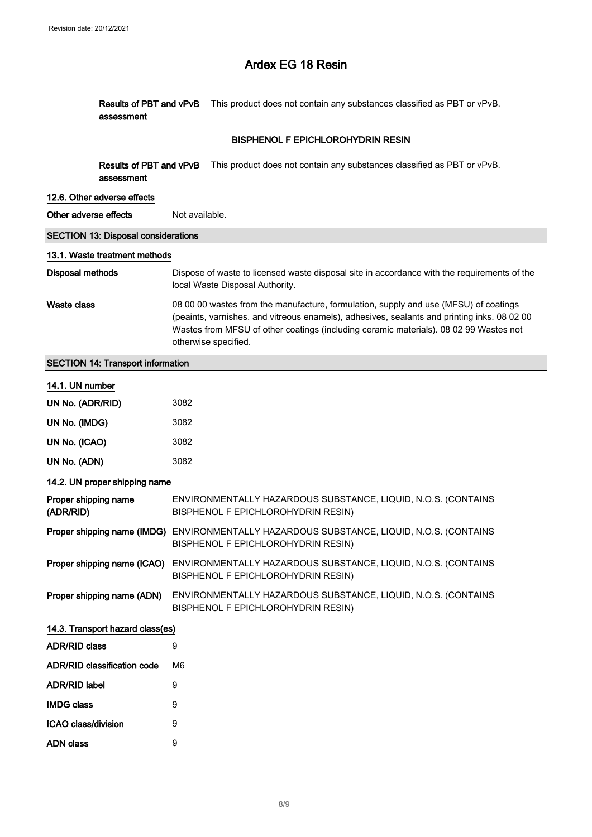|                                   | Results of PBT and vPvB<br>assessment      |                                                                                                                                                                                                                                                                                                      | This product does not contain any substances classified as PBT or vPvB.                                                         |  |
|-----------------------------------|--------------------------------------------|------------------------------------------------------------------------------------------------------------------------------------------------------------------------------------------------------------------------------------------------------------------------------------------------------|---------------------------------------------------------------------------------------------------------------------------------|--|
|                                   |                                            |                                                                                                                                                                                                                                                                                                      | <b>BISPHENOL F EPICHLOROHYDRIN RESIN</b>                                                                                        |  |
|                                   | Results of PBT and vPvB<br>assessment      |                                                                                                                                                                                                                                                                                                      | This product does not contain any substances classified as PBT or vPvB.                                                         |  |
|                                   | 12.6. Other adverse effects                |                                                                                                                                                                                                                                                                                                      |                                                                                                                                 |  |
| Other adverse effects             |                                            | Not available.                                                                                                                                                                                                                                                                                       |                                                                                                                                 |  |
|                                   | <b>SECTION 13: Disposal considerations</b> |                                                                                                                                                                                                                                                                                                      |                                                                                                                                 |  |
|                                   | 13.1. Waste treatment methods              |                                                                                                                                                                                                                                                                                                      |                                                                                                                                 |  |
| <b>Disposal methods</b>           |                                            | Dispose of waste to licensed waste disposal site in accordance with the requirements of the<br>local Waste Disposal Authority.                                                                                                                                                                       |                                                                                                                                 |  |
| <b>Waste class</b>                |                                            | 08 00 00 wastes from the manufacture, formulation, supply and use (MFSU) of coatings<br>(peaints, varnishes. and vitreous enamels), adhesives, sealants and printing inks. 08 02 00<br>Wastes from MFSU of other coatings (including ceramic materials). 08 02 99 Wastes not<br>otherwise specified. |                                                                                                                                 |  |
|                                   | <b>SECTION 14: Transport information</b>   |                                                                                                                                                                                                                                                                                                      |                                                                                                                                 |  |
| 14.1. UN number                   |                                            |                                                                                                                                                                                                                                                                                                      |                                                                                                                                 |  |
| UN No. (ADR/RID)                  |                                            | 3082                                                                                                                                                                                                                                                                                                 |                                                                                                                                 |  |
| UN No. (IMDG)                     |                                            | 3082                                                                                                                                                                                                                                                                                                 |                                                                                                                                 |  |
| UN No. (ICAO)                     |                                            | 3082                                                                                                                                                                                                                                                                                                 |                                                                                                                                 |  |
| UN No. (ADN)                      |                                            | 3082                                                                                                                                                                                                                                                                                                 |                                                                                                                                 |  |
|                                   | 14.2. UN proper shipping name              |                                                                                                                                                                                                                                                                                                      |                                                                                                                                 |  |
| Proper shipping name<br>(ADR/RID) |                                            | ENVIRONMENTALLY HAZARDOUS SUBSTANCE, LIQUID, N.O.S. (CONTAINS<br>BISPHENOL F EPICHLOROHYDRIN RESIN)                                                                                                                                                                                                  |                                                                                                                                 |  |
|                                   |                                            |                                                                                                                                                                                                                                                                                                      | Proper shipping name (IMDG) ENVIRONMENTALLY HAZARDOUS SUBSTANCE, LIQUID, N.O.S. (CONTAINS<br>BISPHENOL F EPICHLOROHYDRIN RESIN) |  |
|                                   | Proper shipping name (ICAO)                |                                                                                                                                                                                                                                                                                                      | ENVIRONMENTALLY HAZARDOUS SUBSTANCE, LIQUID, N.O.S. (CONTAINS<br>BISPHENOL F EPICHLOROHYDRIN RESIN)                             |  |
|                                   | Proper shipping name (ADN)                 |                                                                                                                                                                                                                                                                                                      | ENVIRONMENTALLY HAZARDOUS SUBSTANCE, LIQUID, N.O.S. (CONTAINS<br>BISPHENOL F EPICHLOROHYDRIN RESIN)                             |  |
| 14.3. Transport hazard class(es)  |                                            |                                                                                                                                                                                                                                                                                                      |                                                                                                                                 |  |
| <b>ADR/RID class</b>              |                                            | 9                                                                                                                                                                                                                                                                                                    |                                                                                                                                 |  |
|                                   | <b>ADR/RID classification code</b>         | M6                                                                                                                                                                                                                                                                                                   |                                                                                                                                 |  |
| <b>ADR/RID label</b>              |                                            | 9                                                                                                                                                                                                                                                                                                    |                                                                                                                                 |  |
| <b>IMDG class</b>                 |                                            | 9                                                                                                                                                                                                                                                                                                    |                                                                                                                                 |  |
| ICAO class/division               |                                            | 9                                                                                                                                                                                                                                                                                                    |                                                                                                                                 |  |
| <b>ADN</b> class                  |                                            | 9                                                                                                                                                                                                                                                                                                    |                                                                                                                                 |  |